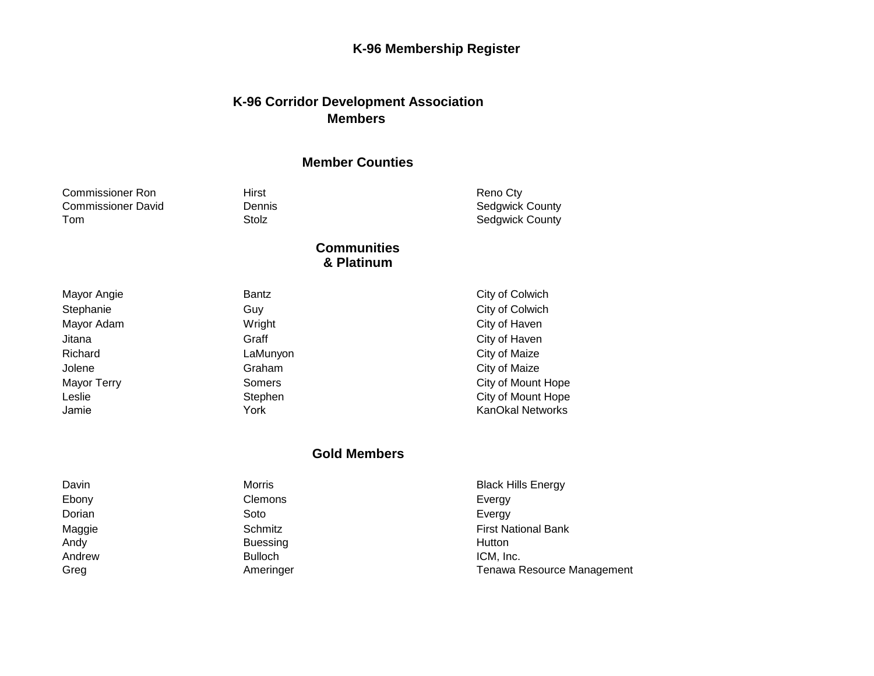# **K-96 Membership Register**

### **K-96 Corridor Development Association Members**

#### **Member Counties**

| <b>Commissioner Ron</b>   | Hirst                            | Reno Cty                |
|---------------------------|----------------------------------|-------------------------|
| <b>Commissioner David</b> | <b>Dennis</b>                    | <b>Sedgwick County</b>  |
| Tom                       | Stolz                            | <b>Sedgwick County</b>  |
|                           | <b>Communities</b><br>& Platinum |                         |
| Mayor Angie               | Bantz                            | City of Colwich         |
| Stephanie                 | Guy                              | City of Colwich         |
| Mayor Adam                | Wright                           | City of Haven           |
| Jitana                    | Graff                            | City of Haven           |
| Richard                   | LaMunyon                         | City of Maize           |
| Jolene                    | Graham                           | City of Maize           |
| Mayor Terry               | Somers                           | City of Mount Hope      |
| Leslie                    | Stephen                          | City of Mount Hope      |
| Jamie                     | York                             | <b>KanOkal Networks</b> |

#### **Gold Members**

| Davin  | Morris          | <b>Black Hills Energy</b>  |
|--------|-----------------|----------------------------|
| Ebony  | Clemons         | Evergy                     |
| Dorian | Soto            | Evergy                     |
| Maggie | Schmitz         | <b>First National Bank</b> |
| Andy   | <b>Buessing</b> | Hutton                     |
| Andrew | <b>Bulloch</b>  | ICM, Inc.                  |
| Greg   | Ameringer       | Tenawa Resource Management |